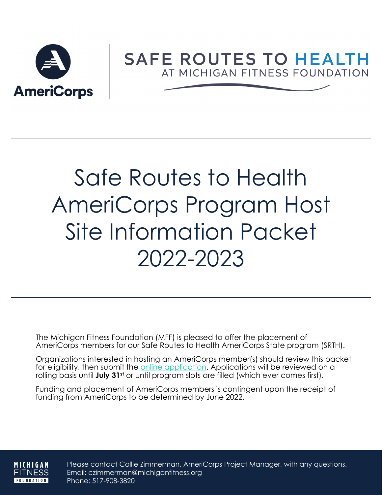

# **SAFE ROUTES TO HEALTH** AT MICHIGAN FITNESS FOUNDATION

# Safe Routes to Health AmeriCorps Program Host Site Information Packet 2022-2023

The Michigan Fitness Foundation (MFF) is pleased to offer the placement of AmeriCorps members for our Safe Routes to Health AmeriCorps State program (SRTH).

Organizations interested in hosting an AmeriCorps member(s) should review this packet for eligibility, then submit the [online application.](https://mff.iad1.qualtrics.com/jfe/form/SV_a03EjcotMFT5CJ0) Applications will be reviewed on a rolling basis until **July 31st** or until program slots are filled (which ever comes first).

Funding and placement of AmeriCorps members is contingent upon the receipt of funding from AmeriCorps to be determined by June 2022.

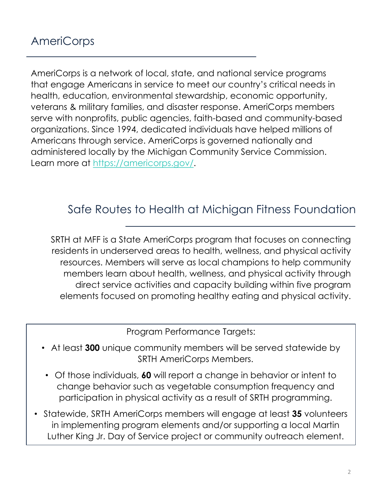AmeriCorps is a network of local, state, and national service programs that engage Americans in service to meet our country's critical needs in health, education, environmental stewardship, economic opportunity, veterans & military families, and disaster response. AmeriCorps members serve with nonprofits, public agencies, faith-based and community-based organizations. Since 1994, dedicated individuals have helped millions of Americans through service. AmeriCorps is governed nationally and administered locally by the Michigan Community Service Commission. Learn more at <https://americorps.gov/>.

## Safe Routes to Health at Michigan Fitness Foundation

SRTH at MFF is a State AmeriCorps program that focuses on connecting residents in underserved areas to health, wellness, and physical activity resources. Members will serve as local champions to help community members learn about health, wellness, and physical activity through direct service activities and capacity building within five program elements focused on promoting healthy eating and physical activity.

Program Performance Targets:

- At least **300** unique community members will be served statewide by SRTH AmeriCorps Members.
- Of those individuals, **60** will report a change in behavior or intent to change behavior such as vegetable consumption frequency and participation in physical activity as a result of SRTH programming.
- Statewide, SRTH AmeriCorps members will engage at least **35** volunteers in implementing program elements and/or supporting a local Martin Luther King Jr. Day of Service project or community outreach element.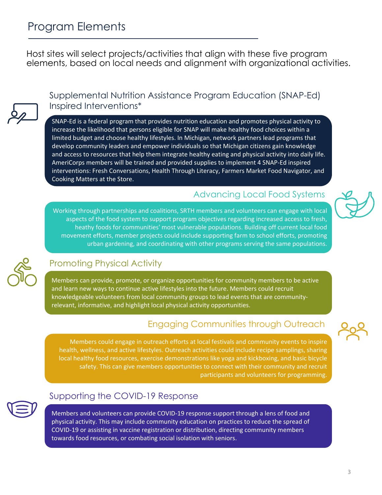Host sites will select projects/activities that align with these five program elements, based on local needs and alignment with organizational activities.



Supplemental Nutrition Assistance Program Education (SNAP-Ed) Inspired Interventions\*

SNAP-Ed is a federal program that provides nutrition education and promotes physical activity to increase the likelihood that persons eligible for SNAP will make healthy food choices within a limited budget and choose healthy lifestyles. In Michigan, network partners lead programs that develop community leaders and empower individuals so that Michigan citizens gain knowledge and access to resources that help them integrate healthy eating and physical activity into daily life. AmeriCorps members will be trained and provided supplies to implement 4 SNAP-Ed inspired interventions: Fresh Conversations, Health Through Literacy, Farmers Market Food Navigator, and Cooking Matters at the Store.

Working through partnerships and coalitions, SRTH members and volunteers can engage with local

#### Advancing Local Food Systems

aspects of the food system to support program objectives regarding increased access to fresh, heathy foods for communities' most vulnerable populations. Building off current local food movement efforts, member projects could include supporting farm to school efforts, promoting urban gardening, and coordinating with other programs serving the same populations.



#### Promoting Physical Activity

Members can provide, promote, or organize opportunities for community members to be active and learn new ways to continue active lifestyles into the future. Members could recruit knowledgeable volunteers from local community groups to lead events that are communityrelevant, informative, and highlight local physical activity opportunities.

### Engaging Communities through Outreach

Members could engage in outreach efforts at local festivals and community events to inspire health, wellness, and active lifestyles. Outreach activities could include recipe samplings, sharing local healthy food resources, exercise demonstrations like yoga and kickboxing, and basic bicycle safety. This can give members opportunities to connect with their community and recruit participants and volunteers for programming.



#### Supporting the COVID-19 Response

Members and volunteers can provide COVID-19 response support through a lens of food and physical activity. This may include community education on practices to reduce the spread of COVID-19 or assisting in vaccine registration or distribution, directing community members towards food resources, or combating social isolation with seniors.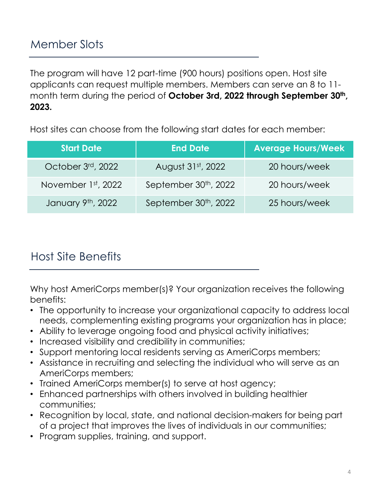The program will have 12 part-time (900 hours) positions open. Host site applicants can request multiple members. Members can serve an 8 to 11 month term during the period of October 3rd, 2022 through September 30<sup>th</sup>, **2023.** 

Host sites can choose from the following start dates for each member:

| <b>Start Date</b>     | <b>End Date</b>                   | <b>Average Hours/Week</b> |
|-----------------------|-----------------------------------|---------------------------|
| October 3rd, 2022     | August 31st, 2022                 | 20 hours/week             |
| November $1st$ , 2022 | September 30 <sup>th</sup> , 2022 | 20 hours/week             |
| January 9th, 2022     | September 30 <sup>th</sup> , 2022 | 25 hours/week             |

## Host Site Benefits

Why host AmeriCorps member(s)? Your organization receives the following benefits:

- The opportunity to increase your organizational capacity to address local needs, complementing existing programs your organization has in place;
- Ability to leverage ongoing food and physical activity initiatives;
- Increased visibility and credibility in communities;
- Support mentoring local residents serving as AmeriCorps members;
- Assistance in recruiting and selecting the individual who will serve as an AmeriCorps members;
- Trained AmeriCorps member(s) to serve at host agency;
- Enhanced partnerships with others involved in building healthier communities;
- Recognition by local, state, and national decision-makers for being part of a project that improves the lives of individuals in our communities;
- Program supplies, training, and support.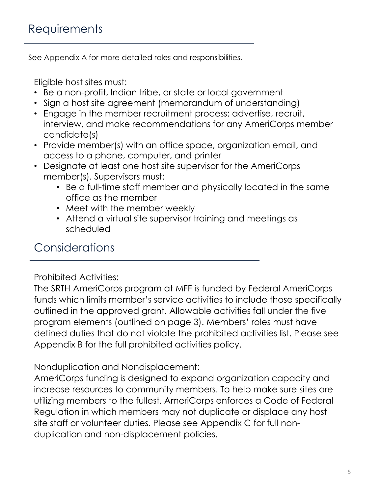See Appendix A for more detailed roles and responsibilities.

Eligible host sites must:

- Be a non-profit, Indian tribe, or state or local government
- Sign a host site agreement (memorandum of understanding)
- Engage in the member recruitment process: advertise, recruit, interview, and make recommendations for any AmeriCorps member candidate(s)
- Provide member(s) with an office space, organization email, and access to a phone, computer, and printer
- Designate at least one host site supervisor for the AmeriCorps member(s). Supervisors must:
	- Be a full-time staff member and physically located in the same office as the member
	- Meet with the member weekly
	- Attend a virtual site supervisor training and meetings as scheduled

## **Considerations**

#### Prohibited Activities:

The SRTH AmeriCorps program at MFF is funded by Federal AmeriCorps funds which limits member's service activities to include those specifically outlined in the approved grant. Allowable activities fall under the five program elements (outlined on page 3). Members' roles must have defined duties that do not violate the prohibited activities list. Please see Appendix B for the full prohibited activities policy.

#### Nonduplication and Nondisplacement:

AmeriCorps funding is designed to expand organization capacity and increase resources to community members. To help make sure sites are utilizing members to the fullest, AmeriCorps enforces a Code of Federal Regulation in which members may not duplicate or displace any host site staff or volunteer duties. Please see Appendix C for full nonduplication and non-displacement policies.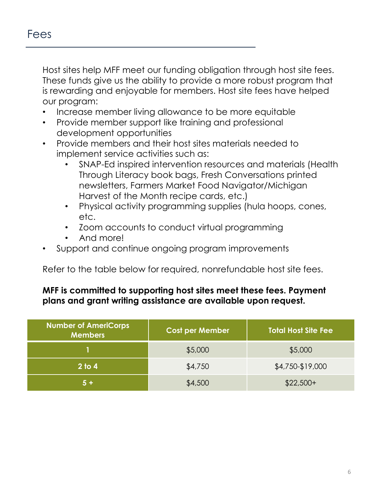Host sites help MFF meet our funding obligation through host site fees. These funds give us the ability to provide a more robust program that is rewarding and enjoyable for members. Host site fees have helped our program:

- Increase member living allowance to be more equitable
- Provide member support like training and professional development opportunities
- Provide members and their host sites materials needed to implement service activities such as:
	- SNAP-Ed inspired intervention resources and materials (Health Through Literacy book bags, Fresh Conversations printed newsletters, Farmers Market Food Navigator/Michigan Harvest of the Month recipe cards, etc.)
	- Physical activity programming supplies (hula hoops, cones, etc.
	- Zoom accounts to conduct virtual programming
	- And more!
- Support and continue ongoing program improvements

Refer to the table below for required, nonrefundable host site fees.

#### **MFF is committed to supporting host sites meet these fees. Payment plans and grant writing assistance are available upon request.**

| Number of AmeriCorps<br><b>Members</b> | <b>Cost per Member</b> | Total Host Site Fee |
|----------------------------------------|------------------------|---------------------|
|                                        | \$5,000                | \$5,000             |
| 2 <sub>to 4</sub>                      | \$4,750                | \$4,750-\$19,000    |
| $5 +$                                  | \$4,500                | $$22,500+$          |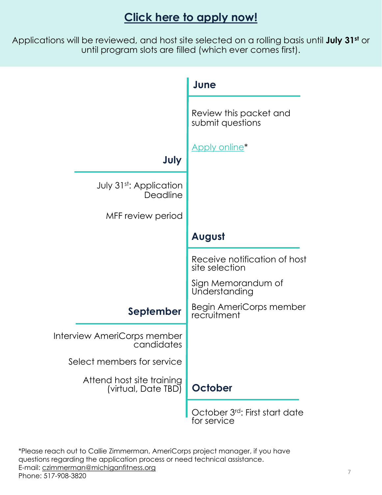## **[Click here to apply now!](https://mff.iad1.qualtrics.com/jfe/form/SV_a03EjcotMFT5CJ0)**

Applications will be reviewed, and host site selected on a rolling basis until **July 31st** or until program slots are filled (which ever comes first).



\*Please reach out to Callie Zimmerman, AmeriCorps project manager, if you have questions regarding the application process or need technical assistance. E-mail: [czimmerman@michiganfitness.org](mailto:Czimmerman@michiganfitness.org) Phone: 517-908-3820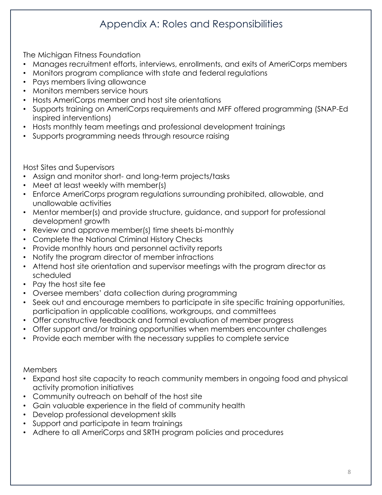## Appendix A: Roles and Responsibilities

The Michigan Fitness Foundation

- Manages recruitment efforts, interviews, enrollments, and exits of AmeriCorps members
- Monitors program compliance with state and federal regulations
- Pays members living allowance
- Monitors members service hours
- Hosts AmeriCorps member and host site orientations
- Supports training on AmeriCorps requirements and MFF offered programming (SNAP-Ed inspired interventions)
- Hosts monthly team meetings and professional development trainings
- Supports programming needs through resource raising

Host Sites and Supervisors

- Assign and monitor short- and long-term projects/tasks
- Meet at least weekly with member(s)
- Enforce AmeriCorps program regulations surrounding prohibited, allowable, and unallowable activities
- Mentor member(s) and provide structure, guidance, and support for professional development growth
- Review and approve member(s) time sheets bi-monthly
- Complete the National Criminal History Checks
- Provide monthly hours and personnel activity reports
- Notify the program director of member infractions
- Attend host site orientation and supervisor meetings with the program director as scheduled
- Pay the host site fee
- Oversee members' data collection during programming
- Seek out and encourage members to participate in site specific training opportunities, participation in applicable coalitions, workgroups, and committees
- Offer constructive feedback and formal evaluation of member progress
- Offer support and/or training opportunities when members encounter challenges
- Provide each member with the necessary supplies to complete service

Members

- Expand host site capacity to reach community members in ongoing food and physical activity promotion initiatives
- Community outreach on behalf of the host site
- Gain valuable experience in the field of community health
- Develop professional development skills
- Support and participate in team trainings
- Adhere to all AmeriCorps and SRTH program policies and procedures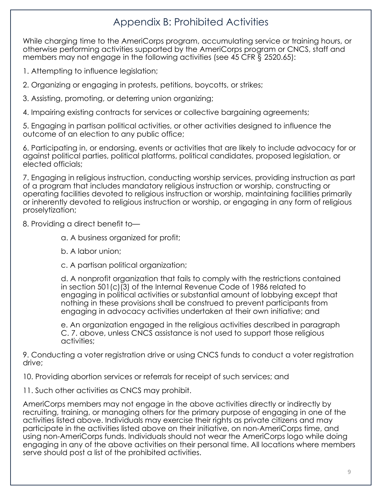## Appendix B: Prohibited Activities

While charging time to the AmeriCorps program, accumulating service or training hours, or otherwise performing activities supported by the AmeriCorps program or CNCS, staff and members may not engage in the following activities (see 45 CFR § 2520.65):

1. Attempting to influence legislation;

2. Organizing or engaging in protests, petitions, boycotts, or strikes;

3. Assisting, promoting, or deterring union organizing;

4. Impairing existing contracts for services or collective bargaining agreements;

5. Engaging in partisan political activities, or other activities designed to influence the outcome of an election to any public office;

6. Participating in, or endorsing, events or activities that are likely to include advocacy for or against political parties, political platforms, political candidates, proposed legislation, or elected officials;

7. Engaging in religious instruction, conducting worship services, providing instruction as part of a program that includes mandatory religious instruction or worship, constructing or operating facilities devoted to religious instruction or worship, maintaining facilities primarily or inherently devoted to religious instruction or worship, or engaging in any form of religious proselytization;

8. Providing a direct benefit to—

a. A business organized for profit;

b. A labor union;

c. A partisan political organization;

d. A nonprofit organization that fails to comply with the restrictions contained in section 501(c)(3) of the Internal Revenue Code of 1986 related to engaging in political activities or substantial amount of lobbying except that nothing in these provisions shall be construed to prevent participants from engaging in advocacy activities undertaken at their own initiative; and

e. An organization engaged in the religious activities described in paragraph C. 7. above, unless CNCS assistance is not used to support those religious activities;

9. Conducting a voter registration drive or using CNCS funds to conduct a voter registration drive;

10. Providing abortion services or referrals for receipt of such services; and

11. Such other activities as CNCS may prohibit.

AmeriCorps members may not engage in the above activities directly or indirectly by recruiting, training, or managing others for the primary purpose of engaging in one of the activities listed above. Individuals may exercise their rights as private citizens and may participate in the activities listed above on their initiative, on non-AmeriCorps time, and using non-AmeriCorps funds. Individuals should not wear the AmeriCorps logo while doing engaging in any of the above activities on their personal time. All locations where members serve should post a list of the prohibited activities.